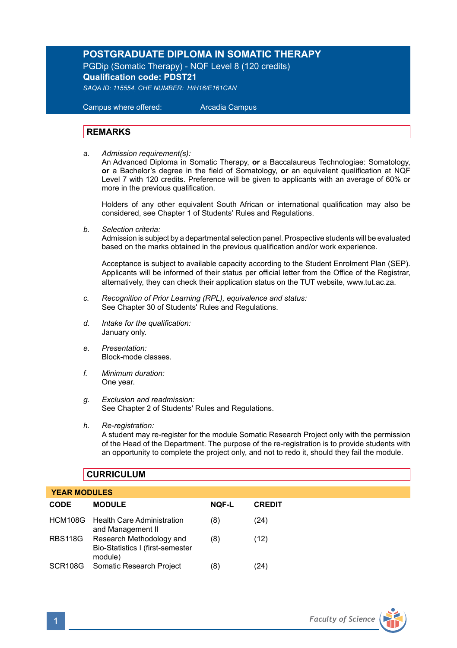## **POSTGRADUATE DIPLOMA IN SOMATIC THERAPY**

PGDip (Somatic Therapy) - NQF Level 8 (120 credits) **Qualification code: PDST21** *SAQA ID: 115554, CHE NUMBER: H/H16/E161CAN*

 Campus where offered: Arcadia Campus

#### **REMARKS**

*a. Admission requirement(s):*  An Advanced Diploma in Somatic Therapy, **or** a Baccalaureus Technologiae: Somatology, **or** a Bachelor's degree in the field of Somatology, **or** an equivalent qualification at NQF Level 7 with 120 credits. Preference will be given to applicants with an average of 60% or more in the previous qualification.

Holders of any other equivalent South African or international qualification may also be considered, see Chapter 1 of Students' Rules and Regulations.

*b. Selection criteria:*

Admission is subject by a departmental selection panel. Prospective students will be evaluated based on the marks obtained in the previous qualification and/or work experience.

Acceptance is subject to available capacity according to the Student Enrolment Plan (SEP). Applicants will be informed of their status per official letter from the Office of the Registrar, alternatively, they can check their application status on the TUT website, www.tut.ac.za.

- *c. Recognition of Prior Learning (RPL), equivalence and status:* See Chapter 30 of Students' Rules and Regulations.
- *d. Intake for the qualification:* January only.
- *e. Presentation:* Block-mode classes.
- *f. Minimum duration:* One year.
- *g. Exclusion and readmission:* See Chapter 2 of Students' Rules and Regulations.
- *h. Re-registration:*

A student may re-register for the module Somatic Research Project only with the permission of the Head of the Department. The purpose of the re-registration is to provide students with an opportunity to complete the project only, and not to redo it, should they fail the module.

### **CURRICULUM**

#### **YEAR MODULES**

| <b>CODE</b>         | <b>MODULE</b>                                                           | <b>NOF-L</b> | <b>CREDIT</b> |
|---------------------|-------------------------------------------------------------------------|--------------|---------------|
|                     | HCM108G Health Care Administration<br>and Management II                 | (8)          | (24)          |
| <b>RBS118G</b>      | Research Methodology and<br>Bio-Statistics I (first-semester<br>module) | (8)          | (12)          |
| SCR <sub>108G</sub> | Somatic Research Project                                                | (8)          | (24)          |